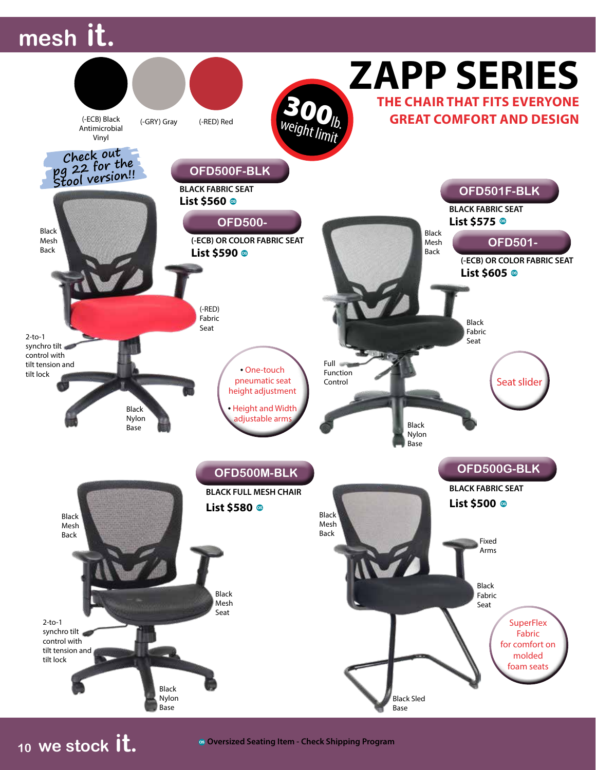## **mesh it.**



**<sup>10</sup> we stock it.**

**Oversized Seating Item - Check Shipping Program**